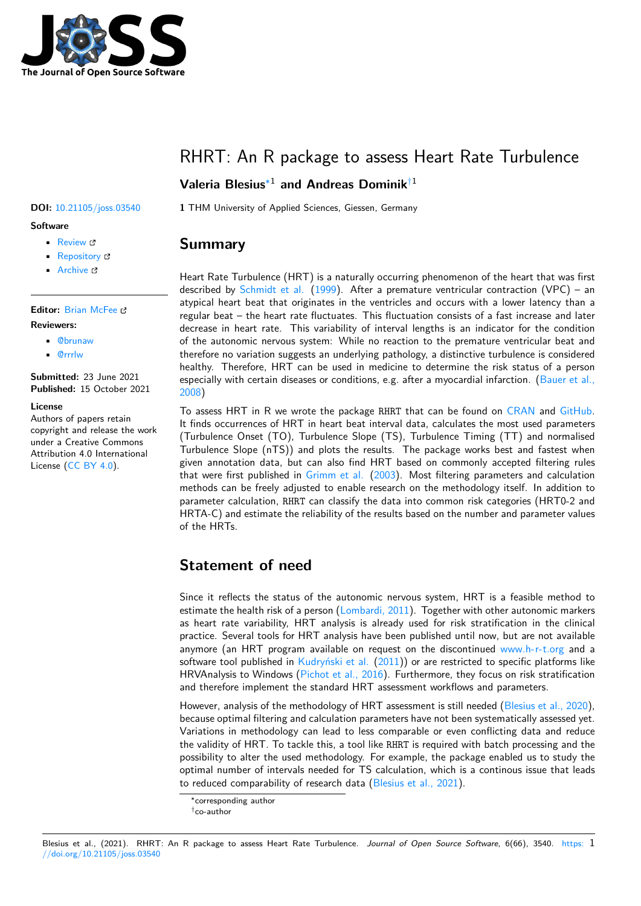

# RHRT: An R package to assess Heart Rate Turbulence

#### **Valeria Blesius**∗1 **and Andreas Dominik**†1

**DOI:** 10.21105/joss.03540 **1** THM University of Applied Sciences, Giessen, Germany

#### **Summary**

Heart Rate Turbulence (HRT) is a naturally occurring phenomenon of the heart that was first described by Schmidt et al.  $(1999)$ . After a premature ventricular contraction  $(VPC)$  – an atypical heart beat that originates in the ventricles and occurs with a lower latency than a regular beat – the heart rate fluctuates. This fluctuation consists of a fast increase and later decrease in heart rate. This variability of interval lengths is an indicator for the condition of the auton[omic nervous sy](#page-2-0)s[tem:](#page-2-0) While no reaction to the premature ventricular beat and therefore no variation suggests an underlying pathology, a distinctive turbulence is considered healthy. Therefore, HRT can be used in medicine to determine the risk status of a person especially with certain diseases or conditions, e.g. after a myocardial infarction. (Bauer et al., 2008)

To assess HRT in R we wrote the package RHRT that can be found on CRAN and GitHub. It finds occurrences of HRT in heart beat interval data, calculates the most used parameters (Turbulence Onset (TO), Turbulence Slope (TS), Turbulence Timing (TT) an[d normalised](#page-2-1) [Turbu](#page-2-1)lence Slope (nTS)) and plots the results. The package works best and fastest when given annotation data, but can also find HRT based on commonly acc[epted](https://cran.r-project.org/package=RHRT) filteri[ng rules](https://github.com/VBlesius/RHRT) that were first published in Grimm et al. (2003). Most filtering parameters and calculation methods can be freely adjusted to enable research on the methodology itself. In addition to parameter calculation, RHRT can classify the data into common risk categories (HRT0-2 and HRTA-C) and estimate the reliability of the results based on the number and parameter values of the HRTs.

## **Statement of need**

Since it reflects the status of the autonomic nervous system, HRT is a feasible method to estimate the health risk of a person (Lombardi, 2011). Together with other autonomic markers as heart rate variability, HRT analysis is already used for risk stratification in the clinical practice. Several tools for HRT analysis have been published until now, but are not available anymore (an HRT program available on request on the discontinued www.h-r-t.org and a software tool published in Kudryński et al.  $(2011)$ ) or are restricted to specific platforms like HRVAnalysis to Windows (Pichot et al., 2016). Furthermore, they focus on risk stratification and therefore implement the standard HRT assessment workflows and parameters.

However, analysis of the methodology of HRT assessment is still needed [\(Blesius et al.,](www.h-r-t.org) 2020), because optimal filtering a[nd calculation pa](#page-2-3)r[amete](#page-2-3)rs have not been systematically assessed yet. Variations in methodology [can lead to less co](#page-2-4)mparable or even conflicting data and reduce the validity of HRT. To tackle this, a tool like RHRT is required with batch processing and the possibility to alter the used methodology. For example, the package ena[bled us to study th](#page-2-5)e optimal number of intervals needed for TS calculation, which is a continous issue that leads to reduced comparability of research data (Blesius et al., 2021).

#### Blesius et al., (2021). RHRT: An R package to assess Heart Rate Turbulence. *J[ournal of Open Source](#page-2-6) Software*, 6(66), 3540. https: 1//doi.org/10.21105/joss.03540

#### **Software**

- Review <sub>12</sub>
- [Repository](https://doi.org/10.21105/joss.03540) &
- Archive &

## **Editor:** [Brian Mc](https://github.com/VBlesius/RHRT)Fee

- **Revie[wers:](https://doi.org/10.6084/m9.figshare.16810405.v1)**
	- @brunaw
	- @[rrrlw](https://brianmcfee.net)

**Submitted:** 23 June 2021 **Publi[shed:](https://github.com/brunaw)** 15 October 2021

#### **Licen[se](https://github.com/rrrlw)**

Authors of papers retain copyright and release the work under a Creative Commons Attribution 4.0 International License (CC BY 4.0).

<sup>∗</sup>corresponding author

<sup>†</sup>co-author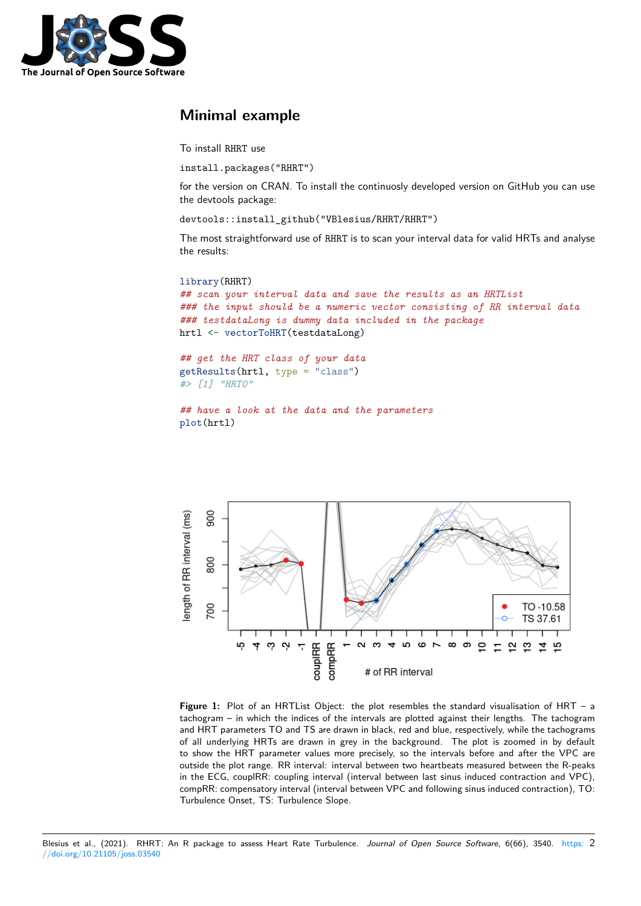

## **Minimal example**

To install RHRT use

```
install.packages("RHRT")
```
for the version on CRAN. To install the continuosly developed version on GitHub you can use the devtools package:

```
devtools::install_github("VBlesius/RHRT/RHRT")
```
The most straightforward use of RHRT is to scan your interval data for valid HRTs and analyse the results:

#### library(RHRT)

```
## scan your interval data and save the results as an HRTList
### the input should be a numeric vector consisting of RR interval data
### testdataLong is dummy data included in the package
hrtl <- vectorToHRT(testdataLong)
```

```
## get the HRT class of your data
getResults(hrtl, type = "class")
#> [1] "HRT0"
```

```
## have a look at the data and the parameters
plot(hrtl)
```


**Figure 1:** Plot of an HRTList Object: the plot resembles the standard visualisation of HRT – a tachogram – in which the indices of the intervals are plotted against their lengths. The tachogram and HRT parameters TO and TS are drawn in black, red and blue, respectively, while the tachograms of all underlying HRTs are drawn in grey in the background. The plot is zoomed in by default to show the HRT parameter values more precisely, so the intervals before and after the VPC are outside the plot range. RR interval: interval between two heartbeats measured between the R-peaks in the ECG, couplRR: coupling interval (interval between last sinus induced contraction and VPC), compRR: compensatory interval (interval between VPC and following sinus induced contraction), TO: Turbulence Onset, TS: Turbulence Slope.